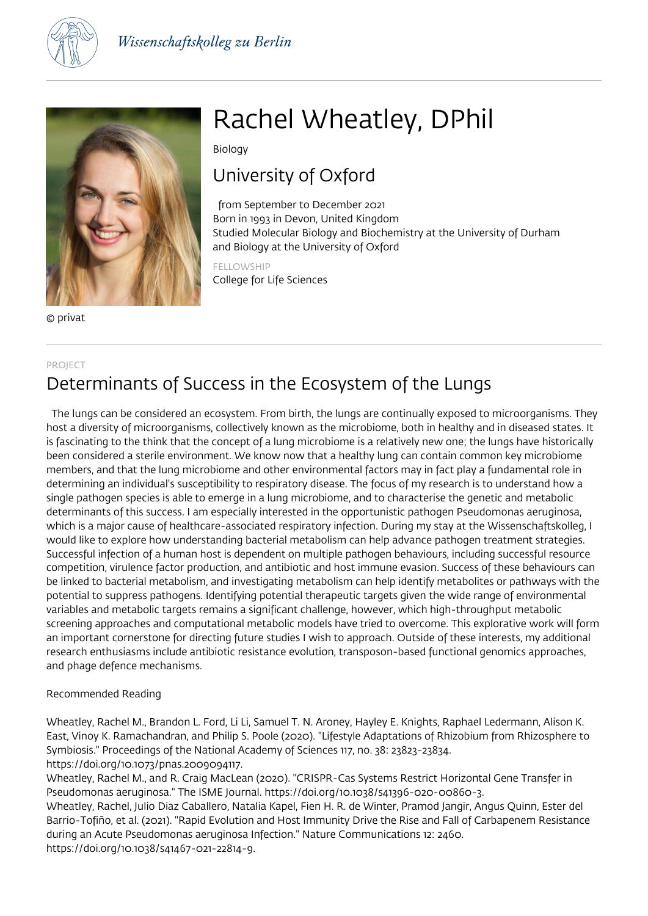



© privat

# Rachel Wheatley, DPhil

Biology

### University of Oxford

 from September to December 2021 Born in 1993 in Devon, United Kingdom Studied Molecular Biology and Biochemistry at the University of Durham and Biology at the University of Oxford

FELLOWSHIP College for Life Sciences

### PROJECT Determinants of Success in the Ecosystem of the Lungs

 The lungs can be considered an ecosystem. From birth, the lungs are continually exposed to microorganisms. They host a diversity of microorganisms, collectively known as the microbiome, both in healthy and in diseased states. It is fascinating to the think that the concept of a lung microbiome is a relatively new one; the lungs have historically been considered a sterile environment. We know now that a healthy lung can contain common key microbiome members, and that the lung microbiome and other environmental factors may in fact play a fundamental role in determining an individual's susceptibility to respiratory disease. The focus of my research is to understand how a single pathogen species is able to emerge in a lung microbiome, and to characterise the genetic and metabolic determinants of this success. I am especially interested in the opportunistic pathogen Pseudomonas aeruginosa, which is a major cause of healthcare-associated respiratory infection. During my stay at the Wissenschaftskolleg, I would like to explore how understanding bacterial metabolism can help advance pathogen treatment strategies. Successful infection of a human host is dependent on multiple pathogen behaviours, including successful resource competition, virulence factor production, and antibiotic and host immune evasion. Success of these behaviours can be linked to bacterial metabolism, and investigating metabolism can help identify metabolites or pathways with the potential to suppress pathogens. Identifying potential therapeutic targets given the wide range of environmental variables and metabolic targets remains a significant challenge, however, which high-throughput metabolic screening approaches and computational metabolic models have tried to overcome. This explorative work will form an important cornerstone for directing future studies I wish to approach. Outside of these interests, my additional research enthusiasms include antibiotic resistance evolution, transposon-based functional genomics approaches, and phage defence mechanisms.

#### Recommended Reading

Wheatley, Rachel M., Brandon L. Ford, Li Li, Samuel T. N. Aroney, Hayley E. Knights, Raphael Ledermann, Alison K. East, Vinoy K. Ramachandran, and Philip S. Poole (2020). "Lifestyle Adaptations of Rhizobium from Rhizosphere to Symbiosis." Proceedings of the National Academy of Sciences 117, no. 38: 23823-23834. https://doi.org/10.1073/pnas.2009094117.

Wheatley, Rachel M., and R. Craig MacLean (2020). "CRISPR-Cas Systems Restrict Horizontal Gene Transfer in Pseudomonas aeruginosa." The ISME Journal. https://doi.org/10.1038/s41396-020-00860-3.

Wheatley, Rachel, Julio Diaz Caballero, Natalia Kapel, Fien H. R. de Winter, Pramod Jangir, Angus Quinn, Ester del Barrio-Tofiño, et al. (2021). "Rapid Evolution and Host Immunity Drive the Rise and Fall of Carbapenem Resistance during an Acute Pseudomonas aeruginosa Infection." Nature Communications 12: 2460. https://doi.org/10.1038/s41467-021-22814-9.